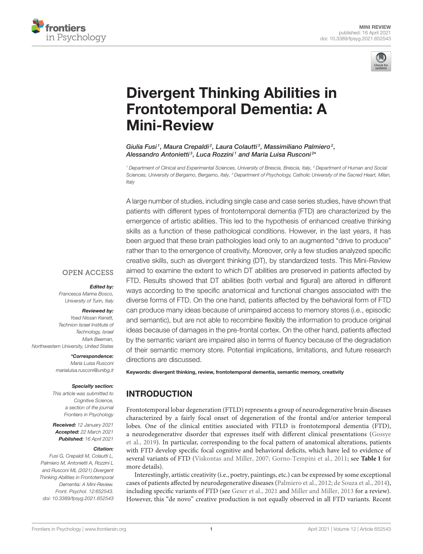



# [Divergent Thinking Abilities in](https://www.frontiersin.org/articles/10.3389/fpsyg.2021.652543/full) Frontotemporal Dementia: A Mini-Review

Giulia Fusi<sup>1</sup>, Maura Crepaldi<sup>2</sup>, Laura Colautti<sup>3</sup>, Massimiliano Palmiero<sup>2</sup>, Alessandro Antonietti<sup>3</sup>, Luca Rozzini<sup>1</sup> and Maria Luisa Rusconi<sup>2\*</sup>

*<sup>1</sup> Department of Clinical and Experimental Sciences, University of Brescia, Brescia, Italy, <sup>2</sup> Department of Human and Social Sciences, University of Bergamo, Bergamo, Italy, <sup>3</sup> Department of Psychology, Catholic University of the Sacred Heart, Milan, Italy*

A large number of studies, including single case and case series studies, have shown that patients with different types of frontotemporal dementia (FTD) are characterized by the emergence of artistic abilities. This led to the hypothesis of enhanced creative thinking skills as a function of these pathological conditions. However, in the last years, it has been argued that these brain pathologies lead only to an augmented "drive to produce" rather than to the emergence of creativity. Moreover, only a few studies analyzed specific creative skills, such as divergent thinking (DT), by standardized tests. This Mini-Review aimed to examine the extent to which DT abilities are preserved in patients affected by FTD. Results showed that DT abilities (both verbal and figural) are altered in different ways according to the specific anatomical and functional changes associated with the diverse forms of FTD. On the one hand, patients affected by the behavioral form of FTD can produce many ideas because of unimpaired access to memory stores (i.e., episodic and semantic), but are not able to recombine flexibly the information to produce original ideas because of damages in the pre-frontal cortex. On the other hand, patients affected by the semantic variant are impaired also in terms of fluency because of the degradation of their semantic memory store. Potential implications, limitations, and future research directions are discussed.

Keywords: divergent thinking, review, frontotemporal dementia, semantic memory, creativity

## INTRODUCTION

Frontotemporal lobar degeneration (FTLD) represents a group of neurodegenerative brain diseases characterized by a fairly focal onset of degeneration of the frontal and/or anterior temporal lobes. One of the clinical entities associated with FTLD is frontotemporal dementia (FTD), a neurodegenerative disorder that expresses itself with different clinical presentations (Gossye et al., [2019\)](#page-6-0). In particular, corresponding to the focal pattern of anatomical alterations, patients with FTD develop specific focal cognitive and behavioral deficits, which have led to evidence of several variants of FTD [\(Viskontas and Miller, 2007;](#page-7-0) [Gorno-Tempini et al., 2011;](#page-6-1) see **[Table 1](#page-1-0)** for more details).

Interestingly, artistic creativity (i.e., poetry, paintings, etc.) can be expressed by some exceptional cases of patients affected by neurodegenerative diseases [\(Palmiero et al., 2012;](#page-6-2) [de Souza et al., 2014\)](#page-6-3), including specific variants of FTD (see [Geser et al., 2021](#page-6-4) and [Miller and Miller, 2013](#page-6-5) for a review). However, this "de novo" creative production is not equally observed in all FTD variants. Recent

#### **OPEN ACCESS**

#### Edited by:

*Francesca Marina Bosco, University of Turin, Italy*

#### Reviewed by:

*Yoed Nissan Kenett, Technion Israel Institute of Technology, Israel Mark Beeman, Northwestern University, United States*

> \*Correspondence: *Maria Luisa Rusconi [marialuisa.rusconi@unibg.it](mailto:marialuisa.rusconi@unibg.it)*

#### Specialty section:

*This article was submitted to Cognitive Science, a section of the journal Frontiers in Psychology*

Received: *12 January 2021* Accepted: *22 March 2021* Published: *16 April 2021*

#### Citation:

*Fusi G, Crepaldi M, Colautti L, Palmiero M, Antonietti A, Rozzini L and Rusconi ML (2021) Divergent Thinking Abilities in Frontotemporal Dementia: A Mini-Review. Front. Psychol. 12:652543. doi: [10.3389/fpsyg.2021.652543](https://doi.org/10.3389/fpsyg.2021.652543)*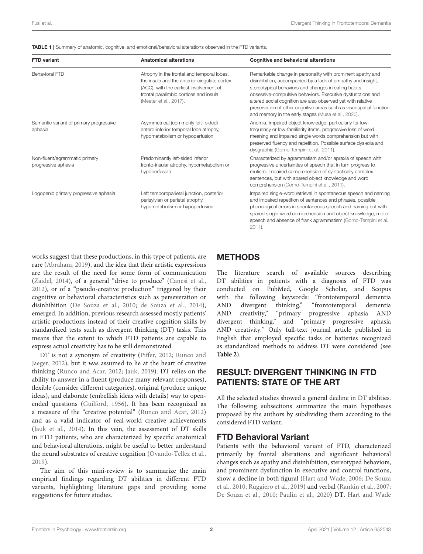<span id="page-1-0"></span>TABLE 1 | Summary of anatomic, cognitive, and emotional/behavioral alterations observed in the FTD variants.

| <b>FTD</b> variant                                   | <b>Anatomical alterations</b>                                                                                                                                                                             | <b>Cognitive and behavioral alterations</b><br>Remarkable change in personality with prominent apathy and<br>disinhibition, accompanied by a lack of empathy and insight,<br>stereotypical behaviors and changes in eating habits,<br>obsessive-compulsive behaviors. Executive dysfunctions and<br>altered social cognition are also observed yet with relative<br>preservation of other cognitive areas such as visuospatial function<br>and memory in the early stages (Musa et al., 2020). |  |  |
|------------------------------------------------------|-----------------------------------------------------------------------------------------------------------------------------------------------------------------------------------------------------------|------------------------------------------------------------------------------------------------------------------------------------------------------------------------------------------------------------------------------------------------------------------------------------------------------------------------------------------------------------------------------------------------------------------------------------------------------------------------------------------------|--|--|
| <b>Behavioral FTD</b>                                | Atrophy in the frontal and temporal lobes,<br>the insula and the anterior cingulate cortex<br>(ACC), with the earliest involvement of<br>frontal paralimbic cortices and insula<br>(Meeter et al., 2017). |                                                                                                                                                                                                                                                                                                                                                                                                                                                                                                |  |  |
| Semantic variant of primary progressive<br>aphasia   | Asymmetrical (commonly left- sided)<br>antero-inferior temporal lobe atrophy,<br>hypometabolism or hypoperfusion                                                                                          | Anomia, impaired object knowledge, particularly for low-<br>frequency or low-familiarity items, progressive loss of word<br>meaning and impaired single words comprehension but with<br>preserved fluency and repetition. Possible surface dyslexia and<br>dysgraphia (Gorno-Tempini et al., 2011).                                                                                                                                                                                            |  |  |
| Non-fluent/agrammatic primary<br>progressive aphasia | Predominantly left-sided inferior<br>fronto-insular atrophy, hypometabolism or<br>hypoperfusion                                                                                                           | Characterized by agrammatism and/or apraxia of speech with<br>progressive uncertainties of speech that in turn progress to<br>mutism. Impaired comprehension of syntactically complex<br>sentences, but with spared object knowledge and word<br>comprehension (Gorno-Tempini et al., 2011).                                                                                                                                                                                                   |  |  |
| Logopenic primary progressive aphasia                | Left temporoparietal junction, posterior<br>perisylvian or parietal atrophy,<br>hypometabolism or hypoperfusion                                                                                           | Impaired single-word retrieval in spontaneous speech and naming<br>and impaired repetition of sentences and phrases, possible<br>phonological errors in spontaneous speech and naming but with<br>spared single-word comprehension and object knowledge, motor<br>speech and absence of frank agrammatism (Gorno-Tempini et al.,<br>2011).                                                                                                                                                     |  |  |

#### works suggest that these productions, in this type of patients, are rare [\(Abraham, 2019\)](#page-5-0), and the idea that their artistic expressions are the result of the need for some form of communication [\(Zaidel, 2014\)](#page-7-1), of a general "drive to produce" [\(Canesi et al.,](#page-5-1) [2012\)](#page-5-1), or of a "pseudo-creative production" triggered by their cognitive or behavioral characteristics such as perseveration or disinhibition [\(De Souza et al., 2010;](#page-6-8) [de Souza et al., 2014\)](#page-6-3), emerged. In addition, previous research assessed mostly patients' artistic productions instead of their creative cognition skills by standardized tests such as divergent thinking (DT) tasks. This means that the extent to which FTD patients are capable to express actual creativity has to be still demonstrated.

DT is not a synonym of creativity [\(Piffer, 2012;](#page-6-9) Runco and Jaeger, [2012\)](#page-6-10), but it was assumed to lie at the heart of creative thinking [\(Runco and Acar, 2012;](#page-6-11) [Jauk, 2019\)](#page-6-12). DT relies on the ability to answer in a fluent (produce many relevant responses), flexible (consider different categories), original (produce unique ideas), and elaborate (embellish ideas with details) way to openended questions [\(Guilford, 1956\)](#page-6-13). It has been recognized as a measure of the "creative potential" [\(Runco and Acar, 2012\)](#page-6-11) and as a valid indicator of real-world creative achievements [\(Jauk et al., 2014\)](#page-6-14). In this vein, the assessment of DT skills in FTD patients, who are characterized by specific anatomical and behavioral alterations, might be useful to better understand the neural substrates of creative cognition [\(Ovando-Tellez et al.,](#page-6-15) [2019\)](#page-6-15).

The aim of this mini-review is to summarize the main empirical findings regarding DT abilities in different FTD variants, highlighting literature gaps and providing some suggestions for future studies.

# METHODS

The literature search of available sources describing DT abilities in patients with a diagnosis of FTD was conducted on PubMed, Google Scholar, and Scopus with the following keywords: "frontotemporal dementia AND divergent thinking," "frontotemporal dementia AND creativity," "primary progressive aphasia AND divergent thinking," and "primary progressive aphasia AND creativity." Only full-text journal article published in English that employed specific tasks or batteries recognized as standardized methods to address DT were considered (see **[Table 2](#page-2-0)**).

### RESULT: DIVERGENT THINKING IN FTD PATIENTS: STATE OF THE ART

All the selected studies showed a general decline in DT abilities. The following subsections summarize the main hypotheses proposed by the authors by subdividing them according to the considered FTD variant.

#### FTD Behavioral Variant

Patients with the behavioral variant of FTD, characterized primarily by frontal alterations and significant behavioral changes such as apathy and disinhibition, stereotyped behaviors, and prominent dysfunction in executive and control functions, show a decline in both figural [\(Hart and Wade, 2006;](#page-6-16) De Souza et al., [2010;](#page-6-8) [Ruggiero et al., 2019\)](#page-6-17) and verbal [\(Rankin et al., 2007;](#page-6-18) [De Souza et al., 2010;](#page-6-8) [Paulin et al., 2020\)](#page-6-19) DT. [Hart and Wade](#page-6-16)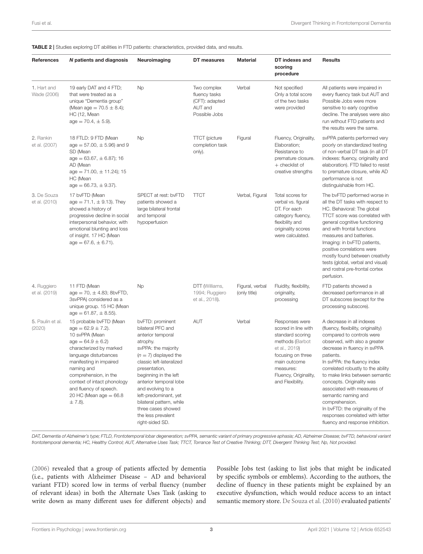<span id="page-2-0"></span>TABLE 2 | Studies exploring DT abilities in FTD patients: characteristics, provided data, and results.

| References                   | N patients and diagnosis                                                                                                                                                                                                                                                                                              | Neuroimaging                                                                                                                                                                                                                                                                                                                                                      | DT measures                                                                | <b>Material</b>                 | DT indexes and<br>scoring<br>procedure                                                                                                                                                       | <b>Results</b>                                                                                                                                                                                                                                                                                                                                                                                                                                                                                      |
|------------------------------|-----------------------------------------------------------------------------------------------------------------------------------------------------------------------------------------------------------------------------------------------------------------------------------------------------------------------|-------------------------------------------------------------------------------------------------------------------------------------------------------------------------------------------------------------------------------------------------------------------------------------------------------------------------------------------------------------------|----------------------------------------------------------------------------|---------------------------------|----------------------------------------------------------------------------------------------------------------------------------------------------------------------------------------------|-----------------------------------------------------------------------------------------------------------------------------------------------------------------------------------------------------------------------------------------------------------------------------------------------------------------------------------------------------------------------------------------------------------------------------------------------------------------------------------------------------|
| 1. Hart and<br>Wade (2006)   | 19 early DAT and 4 FTD;<br>that were treated as a<br>unique "Dementia group"<br>(Mean age = $70.5 \pm 8.4$ );<br><b>HC</b> (12, Mean<br>$age = 70.4, \pm 5.9$ .                                                                                                                                                       | Np                                                                                                                                                                                                                                                                                                                                                                | Two complex<br>fluency tasks<br>(CFT): adapted<br>AUT and<br>Possible Jobs | Verbal                          | Not specified<br>Only a total score<br>of the two tasks<br>were provided                                                                                                                     | All patients were impaired in<br>every fluency task but AUT and<br>Possible Jobs were more<br>sensitive to early cognitive<br>decline. The analyses were also<br>run without FTD patients and<br>the results were the same.                                                                                                                                                                                                                                                                         |
| 2. Rankin<br>et al. (2007)   | 18 FTLD: 9 FTD (Mean<br>$age = 57.00, \pm 5.96$ ) and 9<br>SD (Mean<br>$age = 63.67, \pm 6.87$ ; 16<br>AD (Mean<br>$age = 71.00, \pm 11.24$ ; 15<br>HC (Mean<br>$age = 66.73, \pm 9.37.$                                                                                                                              | Np                                                                                                                                                                                                                                                                                                                                                                | <b>TTCT</b> (picture<br>completion task<br>only).                          | Figural                         | Fluency, Originality,<br>Elaboration:<br>Resistance to<br>premature closure.<br>+ checklist of<br>creative strengths                                                                         | svPPA patients performed very<br>poorly on standardized testing<br>of non-verbal DT task (in all DT<br>indexes: fluency, originality and<br>elaboration). FTD failed to resist<br>to premature closure, while AD<br>performance is not<br>distinguishable from HC.                                                                                                                                                                                                                                  |
| 3. De Souza<br>et al. (2010) | 17 bvFTD (Mean<br>$age = 71.1, \pm 9.13$ . They<br>showed a history of<br>progressive decline in social<br>interpersonal behavior, with<br>emotional blunting and loss<br>of insight. 17 HC (Mean<br>$age = 67.6, \pm 6.71.$                                                                                          | SPECT at rest: bvFTD<br>patients showed a<br>large bilateral frontal<br>and temporal<br>hypoperfusion                                                                                                                                                                                                                                                             | <b>TTCT</b>                                                                | Verbal, Figural                 | Total scores for<br>verbal vs. figural<br>DT. For each<br>category fluency,<br>flexibility and<br>originality scores<br>were calculated.                                                     | The bvFTD performed worse in<br>all the DT tasks with respect to<br>HC. Behavioral: The global<br>TTCT score was correlated with<br>general cognitive functioning<br>and with frontal functions<br>measures and batteries.<br>Imaging: in bvFTD patients,<br>positive correlations were<br>mostly found between creativity<br>tests (global, verbal and visual)<br>and rostral pre-frontal cortex<br>perfusion.                                                                                     |
| 4. Ruggiero<br>et al. (2019) | 11 FTD (Mean<br>$age = 70, \pm 4.83$ ; 8bvFTD,<br>3svPPA) considered as a<br>unique group. 15 HC (Mean<br>$age = 61.87, \pm 8.55$ ).                                                                                                                                                                                  | <b>Np</b>                                                                                                                                                                                                                                                                                                                                                         | DTT (Williams,<br>1994; Ruggiero<br>et al., 2018).                         | Figural, verbal<br>(only title) | Fluidity, flexibility,<br>originality,<br>processing                                                                                                                                         | FTD patients showed a<br>decreased performance in all<br>DT subscores (except for the<br>processing subscore).                                                                                                                                                                                                                                                                                                                                                                                      |
| 5. Paulin et al.<br>(2020)   | 15 probable bvFTD (Mean<br>$age = 62.9 \pm 7.2$ ).<br>10 svPPA (Mean<br>$age = 64.9 \pm 6.2$<br>characterized by marked<br>language disturbances<br>manifesting in impaired<br>naming and<br>comprehension, in the<br>context of intact phonology<br>and fluency of speech.<br>20 HC (Mean age $= 66.8$<br>$± 7.8$ ). | bvFTD: prominent<br>bilateral PFC and<br>anterior temporal<br>atrophy.<br>svPPA: the majority<br>$(n = 7)$ displayed the<br>classic left-lateralized<br>presentation,<br>beginning in the left<br>anterior temporal lobe<br>and evolving to a<br>left-predominant, yet<br>bilateral pattern, while<br>three cases showed<br>the less prevalent<br>right-sided SD. | <b>AUT</b>                                                                 | Verbal                          | Responses were<br>scored in line with<br>standard scoring<br>methods (Barbot<br>et al., 2019)<br>focusing on three<br>main outcome<br>measures:<br>Fluency, Originality,<br>and Flexibility. | A decrease in all indexes<br>(fluency, flexibility, originality)<br>compared to controls were<br>observed, with also a greater<br>decrease in fluency in svPPA<br>patients.<br>In svPPA: the fluency index<br>correlated robustly to the ability<br>to make links between semantic<br>concepts. Originality was<br>associated with measures of<br>semantic naming and<br>comprehension.<br>In bvFTD: the originality of the<br>responses correlated with letter<br>fluency and response inhibition. |

*DAT, Dementia of Alzheimer's type; FTLD, Frontotemporal lobar degeneration; svPPA, semantic variant of primary progressive aphasia; AD, Alzheimer Disease; bvFTD, behavioral variant frontotemporal dementia; HC, Healthy Control; AUT, Alternative Uses Task; TTCT, Torrance Test of Creative Thinking; DTT, Divergent Thinking Test; Np, Not provided.*

[\(2006\)](#page-6-16) revealed that a group of patients affected by dementia (i.e., patients with Alzheimer Disease – AD and behavioral variant FTD) scored low in terms of verbal fluency (number of relevant ideas) in both the Alternate Uses Task (asking to write down as many different uses for different objects) and Possible Jobs test (asking to list jobs that might be indicated by specific symbols or emblems). According to the authors, the decline of fluency in these patients might be explained by an executive dysfunction, which would reduce access to an intact semantic memory store. [De Souza et al. \(2010\)](#page-6-8) evaluated patients'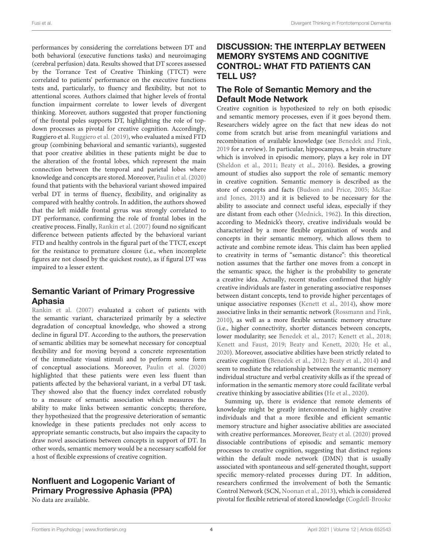performances by considering the correlations between DT and both behavioral (executive functions tasks) and neuroimaging (cerebral perfusion) data. Results showed that DT scores assessed by the Torrance Test of Creative Thinking (TTCT) were correlated to patients' performance on the executive functions tests and, particularly, to fluency and flexibility, but not to attentional scores. Authors claimed that higher levels of frontal function impairment correlate to lower levels of divergent thinking. Moreover, authors suggested that proper functioning of the frontal poles supports DT, highlighting the role of topdown processes as pivotal for creative cognition. Accordingly, Ruggiero et al. [Ruggiero et al. \(2019\)](#page-6-17), who evaluated a mixed FTD group (combining behavioral and semantic variants), suggested that poor creative abilities in these patients might be due to the alteration of the frontal lobes, which represent the main connection between the temporal and parietal lobes where knowledge and concepts are stored. Moreover, [Paulin et al. \(2020\)](#page-6-19) found that patients with the behavioral variant showed impaired verbal DT in terms of fluency, flexibility, and originality as compared with healthy controls. In addition, the authors showed that the left middle frontal gyrus was strongly correlated to DT performance, confirming the role of frontal lobes in the creative process. Finally, [Rankin et al. \(2007\)](#page-6-18) found no significant difference between patients affected by the behavioral variant FTD and healthy controls in the figural part of the TTCT, except for the resistance to premature closure (i.e., when incomplete figures are not closed by the quickest route), as if figural DT was impaired to a lesser extent.

### Semantic Variant of Primary Progressive Aphasia

[Rankin et al. \(2007\)](#page-6-18) evaluated a cohort of patients with the semantic variant, characterized primarily by a selective degradation of conceptual knowledge, who showed a strong decline in figural DT. According to the authors, the preservation of semantic abilities may be somewhat necessary for conceptual flexibility and for moving beyond a concrete representation of the immediate visual stimuli and to perform some form of conceptual associations. Moreover, [Paulin et al. \(2020\)](#page-6-19) highlighted that these patients were even less fluent than patients affected by the behavioral variant, in a verbal DT task. They showed also that the fluency index correlated robustly to a measure of semantic association which measures the ability to make links between semantic concepts; therefore, they hypothesized that the progressive deterioration of semantic knowledge in these patients precludes not only access to appropriate semantic constructs, but also impairs the capacity to draw novel associations between concepts in support of DT. In other words, semantic memory would be a necessary scaffold for a host of flexible expressions of creative cognition.

# Nonfluent and Logopenic Variant of Primary Progressive Aphasia (PPA)

No data are available.

### DISCUSSION: THE INTERPLAY BETWEEN MEMORY SYSTEMS AND COGNITIVE CONTROL: WHAT FTD PATIENTS CAN TELL US?

### The Role of Semantic Memory and the Default Mode Network

Creative cognition is hypothesized to rely on both episodic and semantic memory processes, even if it goes beyond them. Researchers widely agree on the fact that new ideas do not come from scratch but arise from meaningful variations and recombination of available knowledge (see [Benedek and Fink,](#page-5-3) [2019](#page-5-3) for a review). In particular, hippocampus, a brain structure which is involved in episodic memory, plays a key role in DT [\(Sheldon et al., 2011;](#page-6-21) [Beaty et al., 2016\)](#page-5-4). Besides, a growing amount of studies also support the role of semantic memory in creative cognition. Semantic memory is described as the store of concepts and facts [\(Budson and Price, 2005;](#page-5-5) McRae and Jones, [2013\)](#page-6-22) and it is believed to be necessary for the ability to associate and connect useful ideas, especially if they are distant from each other [\(Mednick, 1962\)](#page-6-23). In this direction, according to Mednick's theory, creative individuals would be characterized by a more flexible organization of words and concepts in their semantic memory, which allows them to activate and combine remote ideas. This claim has been applied to creativity in terms of "semantic distance": this theoretical notion assumes that the farther one moves from a concept in the semantic space, the higher is the probability to generate a creative idea. Actually, recent studies confirmed that highly creative individuals are faster in generating associative responses between distant concepts, tend to provide higher percentages of unique associative responses [\(Kenett et al., 2014\)](#page-6-24), show more associative links in their semantic network [\(Rossmann and Fink,](#page-6-25) [2010\)](#page-6-25), as well as a more flexible semantic memory structure (i.e., higher connectivity, shorter distances between concepts, lower modularity; see [Benedek et al., 2017;](#page-5-6) [Kenett et al., 2018;](#page-6-26) [Kenett and Faust, 2019;](#page-6-27) [Beaty and Kenett, 2020;](#page-5-7) [He et al.,](#page-6-28) [2020\)](#page-6-28). Moreover, associative abilities have been strictly related to creative cognition [\(Benedek et al., 2012;](#page-5-8) [Beaty et al., 2014\)](#page-5-9) and seem to mediate the relationship between the semantic memory individual structure and verbal creativity skills as if the spread of information in the semantic memory store could facilitate verbal creative thinking by associative abilities [\(He et al., 2020\)](#page-6-28).

Summing up, there is evidence that remote elements of knowledge might be greatly interconnected in highly creative individuals and that a more flexible and efficient semantic memory structure and higher associative abilities are associated with creative performances. Moreover, [Beaty et al. \(2020\)](#page-5-10) proved dissociable contributions of episodic and semantic memory processes to creative cognition, suggesting that distinct regions within the default mode network (DMN) that is usually associated with spontaneous and self-generated thought, support specific memory-related processes during DT. In addition, researchers confirmed the involvement of both the Semantic Control Network (SCN, [Noonan et al., 2013\)](#page-6-29), which is considered pivotal for flexible retrieval of stored knowledge (Cogdell-Brooke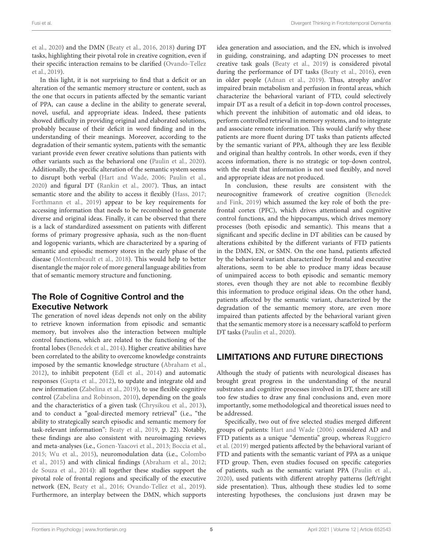et al., [2020\)](#page-6-30) and the DMN [\(Beaty et al., 2016,](#page-5-4) [2018\)](#page-5-11) during DT tasks, highlighting their pivotal role in creative cognition, even if their specific interaction remains to be clarified (Ovando-Tellez et al., [2019\)](#page-6-15).

In this light, it is not surprising to find that a deficit or an alteration of the semantic memory structure or content, such as the one that occurs in patients affected by the semantic variant of PPA, can cause a decline in the ability to generate several, novel, useful, and appropriate ideas. Indeed, these patients showed difficulty in providing original and elaborated solutions, probably because of their deficit in word finding and in the understanding of their meanings. Moreover, according to the degradation of their semantic system, patients with the semantic variant provide even fewer creative solutions than patients with other variants such as the behavioral one [\(Paulin et al., 2020\)](#page-6-19). Additionally, the specific alteration of the semantic system seems to disrupt both verbal [\(Hart and Wade, 2006;](#page-6-16) [Paulin et al.,](#page-6-19) [2020\)](#page-6-19) and figural DT [\(Rankin et al., 2007\)](#page-6-18). Thus, an intact semantic store and the ability to access it flexibly [\(Hass, 2017;](#page-6-31) [Forthmann et al., 2019\)](#page-6-32) appear to be key requirements for accessing information that needs to be recombined to generate diverse and original ideas. Finally, it can be observed that there is a lack of standardized assessment on patients with different forms of primary progressive aphasia, such as the non-fluent and logopenic variants, which are characterized by a sparing of semantic and episodic memory stores in the early phase of the disease [\(Montembeault et al., 2018\)](#page-6-33). This would help to better disentangle the major role of more general language abilities from that of semantic memory structure and functioning.

### The Role of Cognitive Control and the Executive Network

The generation of novel ideas depends not only on the ability to retrieve known information from episodic and semantic memory, but involves also the interaction between multiple control functions, which are related to the functioning of the frontal lobes [\(Benedek et al., 2014\)](#page-5-12). Higher creative abilities have been correlated to the ability to overcome knowledge constraints imposed by the semantic knowledge structure [\(Abraham et al.,](#page-5-13) [2012\)](#page-5-13), to inhibit prepotent [\(Edl et al., 2014\)](#page-6-34) and automatic responses [\(Gupta et al., 2012\)](#page-6-35), to update and integrate old and new information [\(Zabelina et al., 2019\)](#page-7-3), to use flexible cognitive control [\(Zabelina and Robinson, 2010\)](#page-7-4), depending on the goals and the characteristics of a given task [\(Chrysikou et al., 2013\)](#page-5-14), and to conduct a "goal-directed memory retrieval" (i.e., "the ability to strategically search episodic and semantic memory for task-relevant information": [Beaty et al., 2019,](#page-5-15) p. 22). Notably, these findings are also consistent with neuroimaging reviews and meta-analyses (i.e., [Gonen-Yaacovi et al., 2013;](#page-6-36) [Boccia et al.,](#page-5-16) [2015;](#page-5-16) [Wu et al., 2015\)](#page-7-5), neuromodulation data (i.e., Colombo et al., [2015\)](#page-6-37) and with clinical findings [\(Abraham et al., 2012;](#page-5-13) [de Souza et al., 2014\)](#page-6-3): all together these studies support the pivotal role of frontal regions and specifically of the executive network (EN, [Beaty et al., 2016;](#page-5-4) [Ovando-Tellez et al., 2019\)](#page-6-15). Furthermore, an interplay between the DMN, which supports idea generation and association, and the EN, which is involved in guiding, constraining, and adapting DN processes to meet creative task goals [\(Beaty et al., 2019\)](#page-5-15) is considered pivotal during the performance of DT tasks [\(Beaty et al., 2016\)](#page-5-4), even in older people [\(Adnan et al., 2019\)](#page-5-17). Thus, atrophy and/or impaired brain metabolism and perfusion in frontal areas, which characterize the behavioral variant of FTD, could selectively impair DT as a result of a deficit in top-down control processes, which prevent the inhibition of automatic and old ideas, to perform controlled retrieval in memory systems, and to integrate and associate remote information. This would clarify why these patients are more fluent during DT tasks than patients affected by the semantic variant of PPA, although they are less flexible and original than healthy controls. In other words, even if they access information, there is no strategic or top-down control, with the result that information is not used flexibly, and novel and appropriate ideas are not produced.

In conclusion, these results are consistent with the neurocognitive framework of creative cognition (Benedek and Fink, [2019\)](#page-5-3) which assumed the key role of both the prefrontal cortex (PFC), which drives attentional and cognitive control functions, and the hippocampus, which drives memory processes (both episodic and semantic). This means that a significant and specific decline in DT abilities can be caused by alterations exhibited by the different variants of FTD patients in the DMN, EN, or SMN. On the one hand, patients affected by the behavioral variant characterized by frontal and executive alterations, seem to be able to produce many ideas because of unimpaired access to both episodic and semantic memory stores, even though they are not able to recombine flexibly this information to produce original ideas. On the other hand, patients affected by the semantic variant, characterized by the degradation of the semantic memory store, are even more impaired than patients affected by the behavioral variant given that the semantic memory store is a necessary scaffold to perform DT tasks [\(Paulin et al., 2020\)](#page-6-19).

### LIMITATIONS AND FUTURE DIRECTIONS

Although the study of patients with neurological diseases has brought great progress in the understanding of the neural substrates and cognitive processes involved in DT, there are still too few studies to draw any final conclusions and, even more importantly, some methodological and theoretical issues need to be addressed.

Specifically, two out of five selected studies merged different groups of patients: [Hart and Wade \(2006\)](#page-6-16) considered AD and FTD patients as a unique "dementia" group, whereas Ruggiero et al. [\(2019\)](#page-6-17) merged patients affected by the behavioral variant of FTD and patients with the semantic variant of PPA as a unique FTD group. Then, even studies focused on specific categories of patients, such as the semantic variant PPA [\(Paulin et al.,](#page-6-19) [2020\)](#page-6-19), used patients with different atrophy patterns (left/right side presentation). Thus, although these studies led to some interesting hypotheses, the conclusions just drawn may be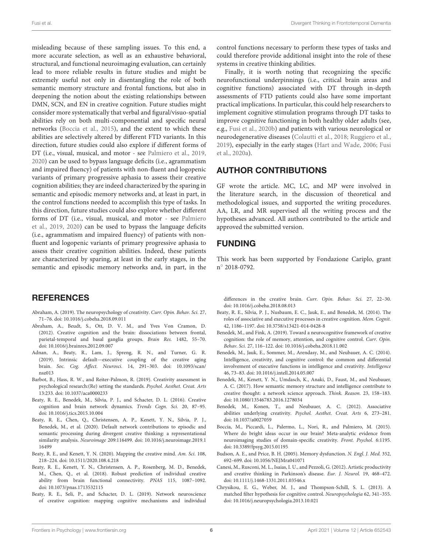misleading because of these sampling issues. To this end, a more accurate selection, as well as an exhaustive behavioral, structural, and functional neuroimaging evaluation, can certainly lead to more reliable results in future studies and might be extremely useful not only in disentangling the role of both semantic memory structure and frontal functions, but also in deepening the notion about the existing relationships between DMN, SCN, and EN in creative cognition. Future studies might consider more systematically that verbal and figural/visuo-spatial abilities rely on both multi-componential and specific neural networks [\(Boccia et al., 2015\)](#page-5-16), and the extent to which these abilities are selectively altered by different FTD variants. In this direction, future studies could also explore if different forms of DT (i.e., visual, musical, and motor - see [Palmiero et al., 2019,](#page-6-38) [2020\)](#page-6-39) can be used to bypass language deficits (i.e., agrammatism and impaired fluency) of patients with non-fluent and logopenic variants of primary progressive aphasia to assess their creative cognition abilities; they are indeed characterized by the sparing in semantic and episodic memory networks and, at least in part, in the control functions needed to accomplish this type of tasks. In this direction, future studies could also explore whether different forms of DT (i.e., visual, musical, and motor - see Palmiero et al., [2019,](#page-6-38) [2020\)](#page-6-39) can be used to bypass the language deficits (i.e., agrammatism and impaired fluency) of patients with nonfluent and logopenic variants of primary progressive aphasia to assess their creative cognition abilities. Indeed, these patients are characterized by sparing, at least in the early stages, in the semantic and episodic memory networks and, in part, in the

#### **REFERENCES**

- <span id="page-5-0"></span>Abraham, A. (2019). The neuropsychology of creativity. Curr. Opin. Behav. Sci. 27, 71–76. doi: [10.1016/j.cobeha.2018.09.011](https://doi.org/10.1016/j.cobeha.2018.09.011)
- <span id="page-5-13"></span>Abraham, A., Beudt, S., Ott, D. V. M., and Yves Von Cramon, D. (2012). Creative cognition and the brain: dissociations between frontal, parietal-temporal and basal ganglia groups. Brain Res. 1482, 55–70. doi: [10.1016/j.brainres.2012.09.007](https://doi.org/10.1016/j.brainres.2012.09.007)
- <span id="page-5-17"></span>Adnan, A., Beaty, R., Lam, J., Spreng, R. N., and Turner, G. R. (2019). Intrinsic default—executive coupling of the creative aging brain. Soc. Cog. Affect. Neurosci. [14, 291–303. doi: 10.1093/scan/](https://doi.org/10.1093/scan/nsz013) nsz013
- <span id="page-5-2"></span>Barbot, B., Hass, R. W., and Reiter-Palmon, R. (2019). Creativity assessment in psychological research:(Re) setting the standards. Psychol. Aesthet. Creat. Arts 13:233. doi: [10.1037/aca0000233](https://doi.org/10.1037/aca0000233)
- <span id="page-5-4"></span>Beaty, R. E., Benedek, M., Silvia, P. J., and Schacter, D. L. (2016). Creative cognition and brain network dynamics. Trends Cogn. Sci. 20, 87–95. doi: [10.1016/j.tics.2015.10.004](https://doi.org/10.1016/j.tics.2015.10.004)
- <span id="page-5-10"></span>Beaty, R. E., Chen, Q., Christensen, A. P., Kenett, Y. N., Silvia, P. J., Benedek, M., et al. (2020). Default network contributions to episodic and semantic processing during divergent creative thinking: a representational similarity analysis. Neuroimage [209:116499. doi: 10.1016/j.neuroimage.2019.1](https://doi.org/10.1016/j.neuroimage.2019.116499) 16499
- <span id="page-5-7"></span>Beaty, R. E., and Kenett, Y. N. (2020). Mapping the creative mind. Am. Sci. 108, 218–224. doi: [10.1511/2020.108.4.218](https://doi.org/10.1511/2020.108.4.218)
- <span id="page-5-11"></span>Beaty, R. E., Kenett, Y. N., Christensen, A. P., Rosenberg, M. D., Benedek, M., Chen, Q., et al. (2018). Robust prediction of individual creative ability from brain functional connectivity. PNAS 115, 1087–1092. doi: [10.1073/pnas.1713532115](https://doi.org/10.1073/pnas.1713532115)
- <span id="page-5-15"></span>Beaty, R. E., Seli, P., and Schacter, D. L. (2019). Network neuroscience of creative cognition: mapping cognitive mechanisms and individual

control functions necessary to perform these types of tasks and could therefore provide additional insight into the role of these systems in creative thinking abilities.

Finally, it is worth noting that recognizing the specific neurofunctional underpinnings (i.e., critical brain areas and cognitive functions) associated with DT through in-depth assessments of FTD patients could also have some important practical implications. In particular, this could help researchers to implement cognitive stimulation programs through DT tasks to improve cognitive functioning in both healthy older adults (see, e.g., [Fusi et al., 2020b\)](#page-6-40) and patients with various neurological or neurodegenerative diseases [\(Colautti et al., 2018;](#page-6-41) [Ruggiero et al.,](#page-6-17) [2019\)](#page-6-17), especially in the early stages [\(Hart and Wade, 2006;](#page-6-16) Fusi et al., [2020a\)](#page-6-42).

#### AUTHOR CONTRIBUTIONS

GF wrote the article. MC, LC, and MP were involved in the literature search, in the discussion of theoretical and methodological issues, and supported the writing procedures. AA, LR, and MR supervised all the writing process and the hypotheses advanced. All authors contributed to the article and approved the submitted version.

### FUNDING

This work has been supported by Fondazione Cariplo, grant n ◦ 2018-0792.

differences in the creative brain. Curr. Opin. Behav. Sci. 27, 22–30. doi: [10.1016/j.cobeha.2018.08.013](https://doi.org/10.1016/j.cobeha.2018.08.013)

- <span id="page-5-9"></span>Beaty, R. E., Silvia, P. J., Nusbaum, E. C., Jauk, E., and Benedek, M. (2014). The roles of associative and executive processes in creative cognition. Mem. Cognit. 42, 1186–1197. doi: [10.3758/s13421-014-0428-8](https://doi.org/10.3758/s13421-014-0428-8)
- <span id="page-5-3"></span>Benedek, M., and Fink, A. (2019). Toward a neurocognitive framework of creative cognition: the role of memory, attention, and cognitive control. Curr. Opin. Behav. Sci. 27, 116–122. doi: [10.1016/j.cobeha.2018.11.002](https://doi.org/10.1016/j.cobeha.2018.11.002)
- <span id="page-5-12"></span>Benedek, M., Jauk, E., Sommer, M., Arendasy, M., and Neubauer, A. C. (2014). Intelligence, creativity, and cognitive control: the common and differential involvement of executive functions in intelligence and creativity. Intelligence 46, 73–83. doi: [10.1016/j.intell.2014.05.007](https://doi.org/10.1016/j.intell.2014.05.007)
- <span id="page-5-6"></span>Benedek, M., Kenett, Y. N., Umdasch, K., Anaki, D., Faust, M., and Neubauer, A. C. (2017). How semantic memory structure and intelligence contribute to creative thought: a network science approach. Think. Reason. 23, 158–183. doi: [10.1080/13546783.2016.1278034](https://doi.org/10.1080/13546783.2016.1278034)
- <span id="page-5-8"></span>Benedek, M., Konen, T., and Neubauer, A. C. (2012). Associative abilities underlying creativity. Psychol. Aesthet. Creat. Arts 6, 273–281. doi: [10.1037/a0027059](https://doi.org/10.1037/a0027059)
- <span id="page-5-16"></span>Boccia, M., Piccardi, L., Palermo, L., Nori, R., and Palmiero, M. (2015). Where do bright ideas occur in our brain? Meta-analytic evidence from neuroimaging studies of domain-specific creativity. Front. Psychol. 6:1195. doi: [10.3389/fpsyg.2015.01195](https://doi.org/10.3389/fpsyg.2015.01195)
- <span id="page-5-5"></span>Budson, A. E., and Price, B. H. (2005). Memory dysfunction. N. Engl. J. Med. 352, 692–699. doi: [10.1056/NEJMra041071](https://doi.org/10.1056/NEJMra041071)
- <span id="page-5-1"></span>Canesi, M., Rusconi, M. L., Isaias, I. U., and Pezzoli, G. (2012). Artistic productivity and creative thinking in Parkinson's disease. Eur. J. Neurol. 19, 468–472. doi: [10.1111/j.1468-1331.2011.03546.x](https://doi.org/10.1111/j.1468-1331.2011.03546.x)
- <span id="page-5-14"></span>Chrysikou, E. G., Weber, M. J., and Thompson-Schill, S. L. (2013). A matched filter hypothesis for cognitive control. Neuropsychologia 62, 341–355. doi: [10.1016/j.neuropsychologia.2013.10.021](https://doi.org/10.1016/j.neuropsychologia.2013.10.021)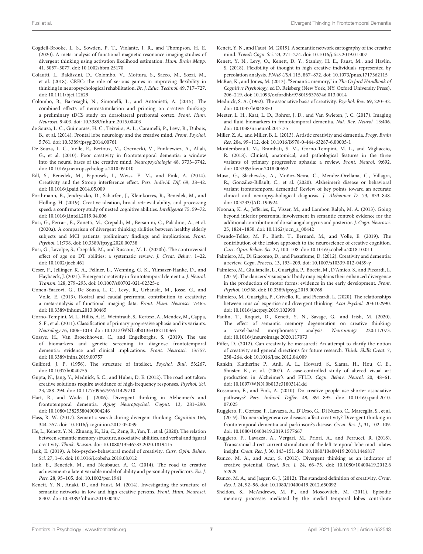- <span id="page-6-30"></span>Cogdell-Brooke, L. S., Sowden, P. T., Violante, I. R., and Thompson, H. E. (2020). A meta-analysis of functional magnetic resonance imaging studies of divergent thinking using activation likelihood estimation. Hum. Brain Mapp. 41, 5057–5077. doi: [10.1002/hbm.25170](https://doi.org/10.1002/hbm.25170)
- <span id="page-6-41"></span>Colautti, L., Baldissini, D., Colombo, V., Mottura, S., Sacco, M., Sozzi, M., et al. (2018). CREC: the role of serious games in improving flexibility in thinking in neuropsychological rehabilitation. Br. J. Educ. Technol. 49, 717–727. doi: [10.1111/bjet.12629](https://doi.org/10.1111/bjet.12629)
- <span id="page-6-37"></span>Colombo, B., Bartesaghi, N., Simonelli, L., and Antonietti, A. (2015). The combined effects of neurostimulation and priming on creative thinking: a preliminary tDCS study on dorsolateral prefrontal cortex. Front. Hum. Neurosci. 9:403. doi: [10.3389/fnhum.2015.00403](https://doi.org/10.3389/fnhum.2015.00403)
- <span id="page-6-3"></span>de Souza, L. C., Guimarães, H. C., Teixeira, A. L., Caramelli, P., Levy, R., Dubois, B., et al. (2014). Frontal lobe neurology and the creative mind. Front. Psychol. 5:761. doi: [10.3389/fpsyg.2014.00761](https://doi.org/10.3389/fpsyg.2014.00761)
- <span id="page-6-8"></span>De Souza, L. C., Volle, E., Bertoux, M., Czernecki, V., Funkiewiez, A., Allali, G., et al. (2010). Poor creativity in frontotemporal dementia: a window into the neural bases of the creative mind. Neuropsychologia 48, 3733–3742. doi: [10.1016/j.neuropsychologia.2010.09.010](https://doi.org/10.1016/j.neuropsychologia.2010.09.010)
- <span id="page-6-34"></span>Edl, S., Benedek, M., Papousek, I., Weiss, E. M., and Fink, A. (2014). Creativity and the Stroop interference effect. Pers. Individ. Dif. 69, 38–42. doi: [10.1016/j.paid.2014.05.009](https://doi.org/10.1016/j.paid.2014.05.009)
- <span id="page-6-32"></span>Forthmann, B., Jendryczko, D., Scharfen, J., Kleinkorres, R., Benedek, M., and Holling, H. (2019). Creative ideation, broad retrieval ability, and processing speed: a confirmatory study of nested cognitive abilities. Intelligence 75, 59–72. doi: [10.1016/j.intell.2019.04.006](https://doi.org/10.1016/j.intell.2019.04.006)
- <span id="page-6-42"></span>Fusi, G., Ferrari, E., Zanetti, M., Crepaldi, M., Bersanini, C., Paladino, A., et al. (2020a). A comparison of divergent thinking abilities between healthy elderly subjects and MCI patients: preliminary findings and implications. Front. Psychol. 11:738. doi: [10.3389/fpsyg.2020.00738](https://doi.org/10.3389/fpsyg.2020.00738)
- <span id="page-6-40"></span>Fusi, G., Lavolpe, S., Crepaldi, M., and Rusconi, M. L. (2020b). The controversial effect of age on DT abilities: a systematic review. J. Creat. Behav. 1–22. doi: [10.1002/jocb.461](https://doi.org/10.1002/jocb.461)
- <span id="page-6-4"></span>Geser, F., Jellinger, K. A., Fellner, L., Wenning, G. K., Yilmazer-Hanke, D., and Haybaeck, J. (2021). Emergent creativity in frontotemporal dementia. J. Neural. Transm. 128, 279–293. doi: [10.1007/s00702-021-02325-z](https://doi.org/10.1007/s00702-021-02325-z)
- <span id="page-6-36"></span>Gonen-Yaacovi, G., De Souza, L. C., Levy, R., Urbanski, M., Josse, G., and Volle, E. (2013). Rostral and caudal prefrontal contribution to creativity: a meta-analysis of functional imaging data. Front. Hum. Neurosci. 7:465. doi: [10.3389/fnhum.2013.00465](https://doi.org/10.3389/fnhum.2013.00465)
- <span id="page-6-1"></span>Gorno-Tempini, M. L., Hillis, A. E., Weintraub, S., Kertesz, A., Mendez, M., Cappa, S. F., et al. (2011). Classification of primary progressive aphasia and its variants. Neurology 76, 1006–1014. doi: [10.1212/WNL.0b013e31821103e6](https://doi.org/10.1212/WNL.0b013e31821103e6)
- <span id="page-6-0"></span>Gossye, H., Van Broeckhoven, C., and Engelborghs, S. (2019). The use of biomarkers and genetic screening to diagnose frontotemporal dementia: evidence and clinical implications. Front. Neurosci. 13:757. doi: [10.3389/fnins.2019.00757](https://doi.org/10.3389/fnins.2019.00757)
- <span id="page-6-13"></span>Guilford, J. P. (1956). The structure of intellect. Psychol. Bull. 53:267. doi: [10.1037/h0040755](https://doi.org/10.1037/h0040755)
- <span id="page-6-35"></span>Gupta, N., Jang, Y., Mednick, S. C., and Huber, D. E. (2012). The road not taken: creative solutions require avoidance of high-frequency responses. Psychol. Sci. 23, 288–294. doi: [10.1177/0956797611429710](https://doi.org/10.1177/0956797611429710)
- <span id="page-6-16"></span>Hart, R., and Wade, J. (2006). Divergent thinking in Alzheimer's and frontotemporal dementia. Aging Neuropsychol. Cognit. 13, 281–290. doi: [10.1080/13825580490904246](https://doi.org/10.1080/13825580490904246)
- <span id="page-6-31"></span>Hass, R. W. (2017). Semantic search during divergent thinking. Cognition 166, 344–357. doi: [10.1016/j.cognition.2017.05.039](https://doi.org/10.1016/j.cognition.2017.05.039)
- <span id="page-6-28"></span>He, L., Kenett, Y. N., Zhuang, K., Liu, C., Zeng, R., Yan, T., et al. (2020). The relation between semantic memory structure, associative abilities, and verbal and figural creativity. Think. Reason. doi: [10.1080/13546783.2020.1819415](https://doi.org/10.1080/13546783.2020.1819415)
- <span id="page-6-12"></span>Jauk, E. (2019). A bio-psycho-behavioral model of creativity. Curr. Opin. Behav. Sci. 27, 1–6. doi: [10.1016/j.cobeha.2018.08.012](https://doi.org/10.1016/j.cobeha.2018.08.012)
- <span id="page-6-14"></span>Jauk, E., Benedek, M., and Neubauer, A. C. (2014). The road to creative achievement: a latent variable model of ability and personality predictors. Eu. J. Pers. 28, 95–105. doi: [10.1002/per.1941](https://doi.org/10.1002/per.1941)
- <span id="page-6-24"></span>Kenett, Y. N., Anaki, D., and Faust, M. (2014). Investigating the structure of semantic networks in low and high creative persons. Front. Hum. Neurosci. 8:407. doi: [10.3389/fnhum.2014.00407](https://doi.org/10.3389/fnhum.2014.00407)
- <span id="page-6-27"></span>Kenett, Y. N., and Faust, M. (2019). A semantic network cartography of the creative mind. Trends Cogn. Sci. 23, 271–274. doi: [10.1016/j.tics.2019.01.007](https://doi.org/10.1016/j.tics.2019.01.007)
- <span id="page-6-26"></span>Kenett, Y. N., Levy, O., Kenett, D. Y., Stanley, H. E., Faust, M., and Havlin, S. (2018). Flexibility of thought in high creative individuals represented by percolation analysis. PNAS USA 115, 867–872. doi: [10.1073/pnas.1717362115](https://doi.org/10.1073/pnas.1717362115)
- <span id="page-6-22"></span>McRae, K., and Jones, M. (2013). "Semantic memory," in The Oxford Handbook of Cognitive Psychology, ed D. Reisberg (New York, NY: Oxford University Press), 206–219. doi: [10.1093/oxfordhb/9780195376746.013.0014](https://doi.org/10.1093/oxfordhb/9780195376746.013.0014)
- <span id="page-6-23"></span>Mednick, S. A. (1962). The associative basis of creativity. Psychol. Rev. 69, 220–32. doi: [10.1037/h0048850](https://doi.org/10.1037/h0048850)
- <span id="page-6-6"></span>Meeter, L. H., Kaat, L. D., Rohrer, J. D., and Van Swieten, J. C. (2017). Imaging and fluid biomarkers in frontotemporal dementia. Nat. Rev. Neurol. 13:406. doi: [10.1038/nrneurol.2017.75](https://doi.org/10.1038/nrneurol.2017.75)
- <span id="page-6-5"></span>Miller, Z. A., and Miller, B. L. (2013). Artistic creativity and dementia. Progr. Brain Res. 204, 99–112. doi: [10.1016/B978-0-444-63287-6.00005-1](https://doi.org/10.1016/B978-0-444-63287-6.00005-1)
- <span id="page-6-33"></span>Montembeault, M., Brambati, S. M., Gorno-Tempini, M. L., and Migliaccio, R. (2018). Clinical, anatomical, and pathological features in the three variants of primary progressive aphasia: a review. Front. Neurol. 9:692. doi: [10.3389/fneur.2018.00692](https://doi.org/10.3389/fneur.2018.00692)
- <span id="page-6-7"></span>Musa, G., Slachevsky, A., Muñoz-Neira, C., Mendez-Orellana, C., Villagra, R., González-Billault, C., et al. (2020). Alzheimer's disease or behavioral variant frontotemporal dementia? Review of key points toward an accurate clinical and neuropsychological diagnosis. J. Alzheimer D. 73, 833–848. doi: [10.3233/JAD-190924](https://doi.org/10.3233/JAD-190924)
- <span id="page-6-29"></span>Noonan, K. A., Jefferies, E., Visser, M., and Lambon Ralph, M. A. (2013). Going beyond inferior prefrontal involvement in semantic control: evidence for the additional contribution of dorsal angular gyrus and posterior. J. Cogn. Neurosci. 25, 1824–1850. doi: [10.1162/jocn\\_a\\_00442](https://doi.org/10.1162/jocn_a_00442)
- <span id="page-6-15"></span>Ovando-Tellez, M. P., Bieth, T., Bernard, M., and Volle, E. (2019). The contribution of the lesion approach to the neuroscience of creative cognition. Curr. Opin. Behav. Sci. 27, 100–108. doi: [10.1016/j.cobeha.2018.10.011](https://doi.org/10.1016/j.cobeha.2018.10.011)
- <span id="page-6-2"></span>Palmiero, M., Di Giacomo, D., and Passafiume, D. (2012). Creativity and dementia: a review. Cogn. Process. 13, 193–209. doi: [10.1007/s10339-012-0439-y](https://doi.org/10.1007/s10339-012-0439-y)
- <span id="page-6-38"></span>Palmiero, M., Giulianella, L., Guariglia, P., Boccia, M., D'Amico, S., and Piccardi, L. (2019). The dancers' visuospatial body map explains their enhanced divergence in the production of motor forms: evidence in the early development. Front. Psychol. 10:768. doi: [10.3389/fpsyg.2019.00768](https://doi.org/10.3389/fpsyg.2019.00768)
- <span id="page-6-39"></span>Palmiero, M., Guariglia, P., Crivello, R., and Piccardi, L. (2020). The relationships between musical expertise and divergent thinking. Acta Psychol. 203:102990. doi: [10.1016/j.actpsy.2019.102990](https://doi.org/10.1016/j.actpsy.2019.102990)
- <span id="page-6-19"></span>Paulin, T., Roquet, D., Kenett, Y. N., Savage, G., and Irish, M. (2020). The effect of semantic memory degeneration on creative thinking: a voxel-based morphometry analysis. Neuroimage 220:117073. doi: [10.1016/j.neuroimage.2020.117073](https://doi.org/10.1016/j.neuroimage.2020.117073)
- <span id="page-6-9"></span>Piffer, D. (2012). Can creativity be measured? An attempt to clarify the notion of creativity and general directions for future research. Think. Skills Creat. 7, 258–264. doi: [10.1016/j.tsc.2012.04.009](https://doi.org/10.1016/j.tsc.2012.04.009)
- <span id="page-6-18"></span>Rankin, K.atherine P., Anli, A. L., Howard, S., Slama, H., Hou, C. E., Shuster, K., et al. (2007). A case-controlled study of altered visual art production in Alzheimer's and FTLD. Cogn. Behav. Neurol. 20, 48–61. doi: [10.1097/WNN.0b013e31803141dd](https://doi.org/10.1097/WNN.0b013e31803141dd)
- <span id="page-6-25"></span>Rossmann, E., and Fink, A. (2010). Do creative people use shorter associative pathways? Pers. Individ. Differ. [49, 891–895. doi: 10.1016/j.paid.2010.](https://doi.org/10.1016/j.paid.2010.07.025) 07.025
- <span id="page-6-17"></span>Ruggiero, F., Cortese, F., Lavazza, A., D'Urso, G., Di Nuzzo, C., Marceglia, S., et al. (2019). Do neurodegenerative diseases affect creativity? Divergent thinking in frontotemporal dementia and parkinson?s disease. Creat. Res. J., 31, 102-109. doi: [10.1080/10400419.2019.1577667](https://doi.org/10.1080/10400419.2019.1577667)
- <span id="page-6-20"></span>Ruggiero, F., Lavazza, A., Vergari, M., Priori, A., and Ferrucci, R. (2018). Transcranial direct current stimulation of the left temporal lobe mod- ulates insight. Creat. Res. J. 30, 143–151. doi: [10.1080/10400419.2018.1446817](https://doi.org/10.1080/10400419.2018.1446817)
- <span id="page-6-11"></span>Runco, M. A., and Acar, S. (2012). Divergent thinking as an indicator of creative potential. Creat. Res. J. [24, 66–75. doi: 10.1080/10400419.2012.6](https://doi.org/10.1080/10400419.2012.652929) 52929
- <span id="page-6-10"></span>Runco, M. A., and Jaeger, G. J. (2012). The standard definition of creativity. Creat. Res. J. 24, 92–96. doi: [10.1080/10400419.2012.650092](https://doi.org/10.1080/10400419.2012.650092)
- <span id="page-6-21"></span>Sheldon, S., McAndrews, M. P., and Moscovitch, M. (2011). Episodic memory processes mediated by the medial temporal lobes contribute